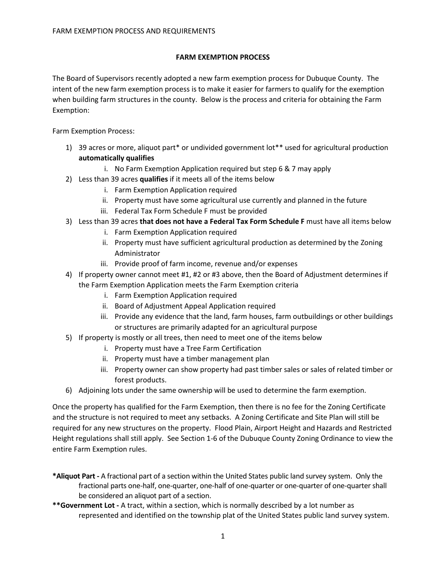## **FARM EXEMPTION PROCESS**

The Board of Supervisors recently adopted a new farm exemption process for Dubuque County. The intent of the new farm exemption process is to make it easier for farmers to qualify for the exemption when building farm structures in the county. Below is the process and criteria for obtaining the Farm Exemption:

Farm Exemption Process:

- 1) 39 acres or more, aliquot part\* or undivided government lot\*\* used for agricultural production **automatically qualifies**
	- i. No Farm Exemption Application required but step 6 & 7 may apply
- 2) Less than 39 acres **qualifies** if it meets all of the items below
	- i. Farm Exemption Application required
	- ii. Property must have some agricultural use currently and planned in the future
	- iii. Federal Tax Form Schedule F must be provided
- 3) Less than 39 acres **that does not have a Federal Tax Form Schedule F** must have all items below
	- i. Farm Exemption Application required
	- ii. Property must have sufficient agricultural production as determined by the Zoning Administrator
	- iii. Provide proof of farm income, revenue and/or expenses
- 4) If property owner cannot meet #1, #2 or #3 above, then the Board of Adjustment determines if the Farm Exemption Application meets the Farm Exemption criteria
	- i. Farm Exemption Application required
	- ii. Board of Adjustment Appeal Application required
	- iii. Provide any evidence that the land, farm houses, farm outbuildings or other buildings or structures are primarily adapted for an agricultural purpose
- 5) If property is mostly or all trees, then need to meet one of the items below
	- i. Property must have a Tree Farm Certification
	- ii. Property must have a timber management plan
	- iii. Property owner can show property had past timber sales or sales of related timber or forest products.
- 6) Adjoining lots under the same ownership will be used to determine the farm exemption.

Once the property has qualified for the Farm Exemption, then there is no fee for the Zoning Certificate and the structure is not required to meet any setbacks. A Zoning Certificate and Site Plan will still be required for any new structures on the property. Flood Plain, Airport Height and Hazards and Restricted Height regulations shall still apply. See Section 1-6 of the Dubuque County Zoning Ordinance to view the entire Farm Exemption rules.

- **\*Aliquot Part -** A fractional part of a section within the United States public land survey system. Only the fractional parts one-half, one-quarter, one-half of one-quarter or one-quarter of one-quarter shall be considered an aliquot part of a section.
- **\*\*Government Lot -** A tract, within a section, which is normally described by a lot number as represented and identified on the township plat of the United States public land survey system.